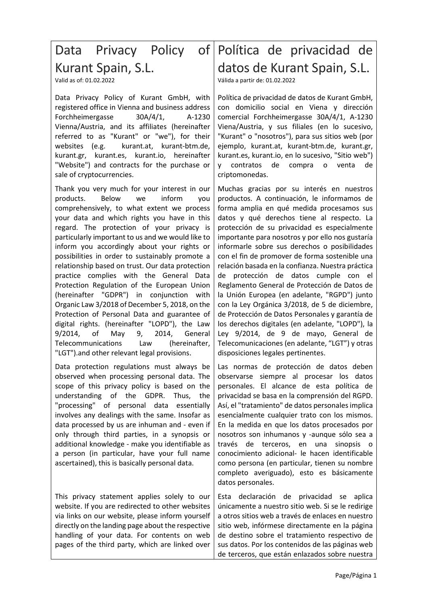# Kurant Spain, S.L.

Valid as of: 01.02.2022

Data Privacy Policy of Kurant GmbH, with registered office in Vienna and business address Forchheimergasse 30A/4/1, A-1230 Vienna/Austria, and its affiliates (hereinafter referred to as "Kurant" or "we"), for their websites (e.g. kurant.at, kurant-btm.de, kurant.gr, kurant.es, kurant.io, hereinafter "Website") and contracts for the purchase or sale of cryptocurrencies.

Thank you very much for your interest in our products. Below we inform you comprehensively, to what extent we process your data and which rights you have in this regard. The protection of your privacy is particularly important to us and we would like to inform you accordingly about your rights or possibilities in order to sustainably promote a relationship based on trust. Our data protection practice complies with the General Data Protection Regulation of the European Union (hereinafter "GDPR") in conjunction with Organic Law 3/2018 of December 5, 2018, on the Protection of Personal Data and guarantee of digital rights. (hereinafter "LOPD"), the Law 9/2014, of May 9, 2014, General Telecommunications Law (hereinafter, "LGT").and other relevant legal provisions.

Data protection regulations must always be observed when processing personal data. The scope of this privacy policy is based on the understanding of the GDPR. Thus, the "processing" of personal data essentially involves any dealings with the same. Insofar as data processed by us are inhuman and - even if only through third parties, in a synopsis or additional knowledge - make you identifiable as a person (in particular, have your full name ascertained), this is basically personal data.

This privacy statement applies solely to our website. If you are redirected to other websites via links on our website, please inform yourself directly on the landing page about the respective handling of your data. For contents on web pages of the third party, which are linked over

# Data Privacy Policy of Política de privacidad de datos de Kurant Spain, S.L.

Válida a partir de: 01.02.2022

Política de privacidad de datos de Kurant GmbH, con domicilio social en Viena y dirección comercial Forchheimergasse 30A/4/1, A-1230 Viena/Austria, y sus filiales (en lo sucesivo, "Kurant" o "nosotros"), para sus sitios web (por ejemplo, kurant.at, kurant-btm.de, kurant.gr, kurant.es, kurant.io, en lo sucesivo, "Sitio web") y contratos de compra o venta de criptomonedas.

Muchas gracias por su interés en nuestros productos. A continuación, le informamos de forma amplia en qué medida procesamos sus datos y qué derechos tiene al respecto. La protección de su privacidad es especialmente importante para nosotros y por ello nos gustaría informarle sobre sus derechos o posibilidades con el fin de promover de forma sostenible una relación basada en la confianza. Nuestra práctica de protección de datos cumple con el Reglamento General de Protección de Datos de la Unión Europea (en adelante, "RGPD") junto con la Ley Orgánica 3/2018, de 5 de diciembre, de Protección de Datos Personales y garantía de los derechos digitales (en adelante, "LOPD"), la Ley 9/2014, de 9 de mayo, General de Telecomunicaciones (en adelante, "LGT") y otras disposiciones legales pertinentes.

Las normas de protección de datos deben observarse siempre al procesar los datos personales. El alcance de esta política de privacidad se basa en la comprensión del RGPD. Así, el "tratamiento" de datos personales implica esencialmente cualquier trato con los mismos. En la medida en que los datos procesados por nosotros son inhumanos y -aunque sólo sea a través de terceros, en una sinopsis o conocimiento adicional- le hacen identificable como persona (en particular, tienen su nombre completo averiguado), esto es básicamente datos personales.

Esta declaración de privacidad se aplica únicamente a nuestro sitio web. Si se le redirige a otros sitios web a través de enlaces en nuestro sitio web, infórmese directamente en la página de destino sobre el tratamiento respectivo de sus datos. Por los contenidos de las páginas web de terceros, que están enlazados sobre nuestra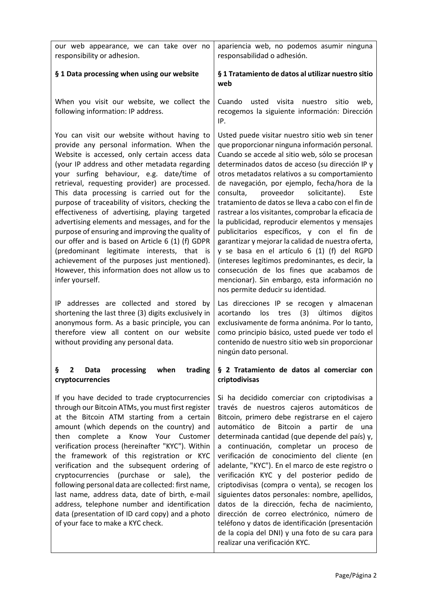| our web appearance, we can take over no<br>responsibility or adhesion.                                                                                                                                                                                                                                                                                                                                                                                                                                                                                                                                                                                                                                                                                                        | apariencia web, no podemos asumir ninguna<br>responsabilidad o adhesión.                                                                                                                                                                                                                                                                                                                                                                                                                                                                                                                                                                                                                                                                                                                                                                                           |
|-------------------------------------------------------------------------------------------------------------------------------------------------------------------------------------------------------------------------------------------------------------------------------------------------------------------------------------------------------------------------------------------------------------------------------------------------------------------------------------------------------------------------------------------------------------------------------------------------------------------------------------------------------------------------------------------------------------------------------------------------------------------------------|--------------------------------------------------------------------------------------------------------------------------------------------------------------------------------------------------------------------------------------------------------------------------------------------------------------------------------------------------------------------------------------------------------------------------------------------------------------------------------------------------------------------------------------------------------------------------------------------------------------------------------------------------------------------------------------------------------------------------------------------------------------------------------------------------------------------------------------------------------------------|
| § 1 Data processing when using our website                                                                                                                                                                                                                                                                                                                                                                                                                                                                                                                                                                                                                                                                                                                                    | § 1 Tratamiento de datos al utilizar nuestro sitio<br>web                                                                                                                                                                                                                                                                                                                                                                                                                                                                                                                                                                                                                                                                                                                                                                                                          |
| When you visit our website, we collect the<br>following information: IP address.                                                                                                                                                                                                                                                                                                                                                                                                                                                                                                                                                                                                                                                                                              | Cuando<br>usted<br>visita<br>sitio<br>web,<br>nuestro<br>recogemos la siguiente información: Dirección<br>IP.                                                                                                                                                                                                                                                                                                                                                                                                                                                                                                                                                                                                                                                                                                                                                      |
| You can visit our website without having to<br>provide any personal information. When the<br>Website is accessed, only certain access data<br>(your IP address and other metadata regarding<br>your surfing behaviour, e.g. date/time of<br>retrieval, requesting provider) are processed.<br>This data processing is carried out for the<br>purpose of traceability of visitors, checking the<br>effectiveness of advertising, playing targeted<br>advertising elements and messages, and for the<br>purpose of ensuring and improving the quality of<br>our offer and is based on Article 6 (1) (f) GDPR<br>(predominant legitimate interests, that is<br>achievement of the purposes just mentioned).<br>However, this information does not allow us to<br>infer yourself. | Usted puede visitar nuestro sitio web sin tener<br>que proporcionar ninguna información personal.<br>Cuando se accede al sitio web, sólo se procesan<br>determinados datos de acceso (su dirección IP y<br>otros metadatos relativos a su comportamiento<br>de navegación, por ejemplo, fecha/hora de la<br>proveedor<br>solicitante).<br>consulta,<br>Este<br>tratamiento de datos se lleva a cabo con el fin de<br>rastrear a los visitantes, comprobar la eficacia de<br>la publicidad, reproducir elementos y mensajes<br>publicitarios específicos, y con el fin de<br>garantizar y mejorar la calidad de nuestra oferta,<br>y se basa en el artículo 6 (1) (f) del RGPD<br>(intereses legítimos predominantes, es decir, la<br>consecución de los fines que acabamos de<br>mencionar). Sin embargo, esta información no<br>nos permite deducir su identidad. |
| addresses are collected and stored by<br>IP.<br>shortening the last three (3) digits exclusively in<br>anonymous form. As a basic principle, you can<br>therefore view all content on our website<br>without providing any personal data.                                                                                                                                                                                                                                                                                                                                                                                                                                                                                                                                     | Las direcciones IP se recogen y almacenan<br>(3)<br>últimos<br>dígitos<br>acortando<br>los<br>tres<br>exclusivamente de forma anónima. Por lo tanto,<br>como principio básico, usted puede ver todo el<br>contenido de nuestro sitio web sin proporcionar<br>ningún dato personal.                                                                                                                                                                                                                                                                                                                                                                                                                                                                                                                                                                                 |
| processing<br>when<br>trading<br>ş<br>2<br>Data<br>cryptocurrencies                                                                                                                                                                                                                                                                                                                                                                                                                                                                                                                                                                                                                                                                                                           | § 2 Tratamiento de datos al comerciar con<br>criptodivisas                                                                                                                                                                                                                                                                                                                                                                                                                                                                                                                                                                                                                                                                                                                                                                                                         |
| If you have decided to trade cryptocurrencies<br>through our Bitcoin ATMs, you must first register<br>at the Bitcoin ATM starting from a certain<br>amount (which depends on the country) and<br>Know Your Customer<br>then complete a<br>verification process (hereinafter "KYC"). Within<br>the framework of this registration or KYC<br>verification and the subsequent ordering of<br>(purchase)<br>sale), the<br>cryptocurrencies<br>or<br>following personal data are collected: first name,<br>last name, address data, date of birth, e-mail<br>address, telephone number and identification<br>data (presentation of ID card copy) and a photo<br>of your face to make a KYC check.                                                                                  | Si ha decidido comerciar con criptodivisas a<br>través de nuestros cajeros automáticos de<br>Bitcoin, primero debe registrarse en el cajero<br>automático de Bitcoin a partir de una<br>determinada cantidad (que depende del país) y,<br>a continuación, completar un proceso de<br>verificación de conocimiento del cliente (en<br>adelante, "KYC"). En el marco de este registro o<br>verificación KYC y del posterior pedido de<br>criptodivisas (compra o venta), se recogen los<br>siguientes datos personales: nombre, apellidos,<br>datos de la dirección, fecha de nacimiento,<br>dirección de correo electrónico, número de<br>teléfono y datos de identificación (presentación<br>de la copia del DNI) y una foto de su cara para<br>realizar una verificación KYC.                                                                                     |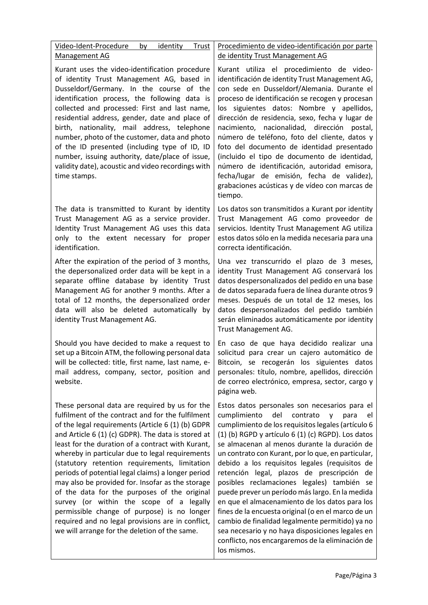| Video-Ident-Procedure<br>by<br>identity<br>Trust<br>Management AG                                                                                                                                                                                                                                                                                                                                                                                                                                                                                                                                                                                                                                                                  | Procedimiento de video-identificación por parte<br>de identity Trust Management AG                                                                                                                                                                                                                                                                                                                                                                                                                                                                                                                                                                                                                                                                                                                       |
|------------------------------------------------------------------------------------------------------------------------------------------------------------------------------------------------------------------------------------------------------------------------------------------------------------------------------------------------------------------------------------------------------------------------------------------------------------------------------------------------------------------------------------------------------------------------------------------------------------------------------------------------------------------------------------------------------------------------------------|----------------------------------------------------------------------------------------------------------------------------------------------------------------------------------------------------------------------------------------------------------------------------------------------------------------------------------------------------------------------------------------------------------------------------------------------------------------------------------------------------------------------------------------------------------------------------------------------------------------------------------------------------------------------------------------------------------------------------------------------------------------------------------------------------------|
| Kurant uses the video-identification procedure<br>of identity Trust Management AG, based in<br>Dusseldorf/Germany. In the course of the<br>identification process, the following data is<br>collected and processed: First and last name,<br>residential address, gender, date and place of<br>birth, nationality, mail address, telephone<br>number, photo of the customer, data and photo<br>of the ID presented (including type of ID, ID<br>number, issuing authority, date/place of issue,<br>validity date), acoustic and video recordings with<br>time stamps.                                                                                                                                                              | Kurant utiliza el procedimiento de video-<br>identificación de identity Trust Management AG,<br>con sede en Dusseldorf/Alemania. Durante el<br>proceso de identificación se recogen y procesan<br>los siguientes datos: Nombre y apellidos,<br>dirección de residencia, sexo, fecha y lugar de<br>nacimiento,<br>nacionalidad, dirección postal,<br>número de teléfono, foto del cliente, datos y<br>foto del documento de identidad presentado<br>(incluido el tipo de documento de identidad,<br>número de identificación, autoridad emisora,<br>fecha/lugar de emisión, fecha de validez),<br>grabaciones acústicas y de vídeo con marcas de<br>tiempo.                                                                                                                                               |
| The data is transmitted to Kurant by identity<br>Trust Management AG as a service provider.<br>Identity Trust Management AG uses this data<br>only to the extent necessary for proper<br>identification.                                                                                                                                                                                                                                                                                                                                                                                                                                                                                                                           | Los datos son transmitidos a Kurant por identity<br>Trust Management AG como proveedor de<br>servicios. Identity Trust Management AG utiliza<br>estos datos sólo en la medida necesaria para una<br>correcta identificación.                                                                                                                                                                                                                                                                                                                                                                                                                                                                                                                                                                             |
| After the expiration of the period of 3 months,<br>the depersonalized order data will be kept in a<br>separate offline database by identity Trust<br>Management AG for another 9 months. After a<br>total of 12 months, the depersonalized order<br>data will also be deleted automatically by<br>identity Trust Management AG.                                                                                                                                                                                                                                                                                                                                                                                                    | Una vez transcurrido el plazo de 3 meses,<br>identity Trust Management AG conservará los<br>datos despersonalizados del pedido en una base<br>de datos separada fuera de línea durante otros 9<br>meses. Después de un total de 12 meses, los<br>datos despersonalizados del pedido también<br>serán eliminados automáticamente por identity<br>Trust Management AG.                                                                                                                                                                                                                                                                                                                                                                                                                                     |
| Should you have decided to make a request to<br>set up a Bitcoin ATM, the following personal data<br>will be collected: title, first name, last name, e-<br>mail address, company, sector, position and<br>website.                                                                                                                                                                                                                                                                                                                                                                                                                                                                                                                | En caso de que haya decidido realizar una<br>solicitud para crear un cajero automático de<br>Bitcoin, se recogerán los siguientes datos<br>personales: título, nombre, apellidos, dirección<br>de correo electrónico, empresa, sector, cargo y<br>página web.                                                                                                                                                                                                                                                                                                                                                                                                                                                                                                                                            |
| These personal data are required by us for the<br>fulfilment of the contract and for the fulfilment<br>of the legal requirements (Article 6 (1) (b) GDPR<br>and Article 6 (1) (c) GDPR). The data is stored at<br>least for the duration of a contract with Kurant,<br>whereby in particular due to legal requirements<br>(statutory retention requirements, limitation<br>periods of potential legal claims) a longer period<br>may also be provided for. Insofar as the storage<br>of the data for the purposes of the original<br>survey (or within the scope of a legally<br>permissible change of purpose) is no longer<br>required and no legal provisions are in conflict,<br>we will arrange for the deletion of the same. | Estos datos personales son necesarios para el<br>cumplimiento<br>del<br>contrato<br>para<br>V<br>el<br>cumplimiento de los requisitos legales (artículo 6<br>(1) (b) RGPD y artículo 6 (1) (c) RGPD). Los datos<br>se almacenan al menos durante la duración de<br>un contrato con Kurant, por lo que, en particular,<br>debido a los requisitos legales (requisitos de<br>retención legal, plazos de prescripción de<br>posibles reclamaciones legales) también se<br>puede prever un período más largo. En la medida<br>en que el almacenamiento de los datos para los<br>fines de la encuesta original (o en el marco de un<br>cambio de finalidad legalmente permitido) ya no<br>sea necesario y no haya disposiciones legales en<br>conflicto, nos encargaremos de la eliminación de<br>los mismos. |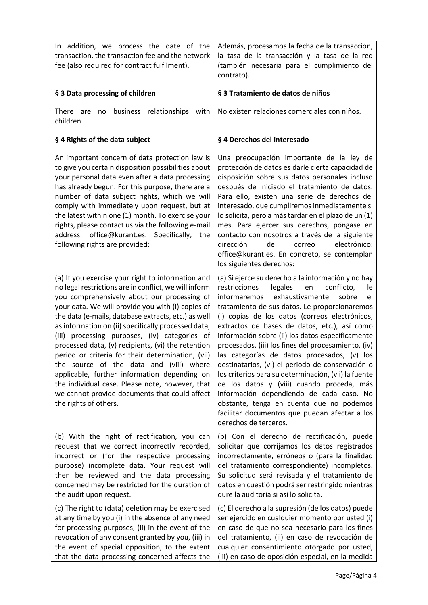| In addition, we process the date of the<br>transaction, the transaction fee and the network<br>fee (also required for contract fulfilment).                                                                                                                                                                                                                                                                                                                                                                                                                                                                                                                                                                      | Además, procesamos la fecha de la transacción,<br>la tasa de la transacción y la tasa de la red<br>(también necesaria para el cumplimiento del<br>contrato).                                                                                                                                                                                                                                                                                                                                                                                                                                                                                                                                                                                                                                       |
|------------------------------------------------------------------------------------------------------------------------------------------------------------------------------------------------------------------------------------------------------------------------------------------------------------------------------------------------------------------------------------------------------------------------------------------------------------------------------------------------------------------------------------------------------------------------------------------------------------------------------------------------------------------------------------------------------------------|----------------------------------------------------------------------------------------------------------------------------------------------------------------------------------------------------------------------------------------------------------------------------------------------------------------------------------------------------------------------------------------------------------------------------------------------------------------------------------------------------------------------------------------------------------------------------------------------------------------------------------------------------------------------------------------------------------------------------------------------------------------------------------------------------|
| § 3 Data processing of children                                                                                                                                                                                                                                                                                                                                                                                                                                                                                                                                                                                                                                                                                  | § 3 Tratamiento de datos de niños                                                                                                                                                                                                                                                                                                                                                                                                                                                                                                                                                                                                                                                                                                                                                                  |
| business relationships<br><b>There</b><br>with<br>are<br>no<br>children.                                                                                                                                                                                                                                                                                                                                                                                                                                                                                                                                                                                                                                         | No existen relaciones comerciales con niños.                                                                                                                                                                                                                                                                                                                                                                                                                                                                                                                                                                                                                                                                                                                                                       |
| § 4 Rights of the data subject                                                                                                                                                                                                                                                                                                                                                                                                                                                                                                                                                                                                                                                                                   | § 4 Derechos del interesado                                                                                                                                                                                                                                                                                                                                                                                                                                                                                                                                                                                                                                                                                                                                                                        |
| An important concern of data protection law is<br>to give you certain disposition possibilities about<br>your personal data even after a data processing<br>has already begun. For this purpose, there are a<br>number of data subject rights, which we will<br>comply with immediately upon request, but at<br>the latest within one (1) month. To exercise your<br>rights, please contact us via the following e-mail<br>address: office@kurant.es. Specifically,<br>the<br>following rights are provided:                                                                                                                                                                                                     | Una preocupación importante de la ley de<br>protección de datos es darle cierta capacidad de<br>disposición sobre sus datos personales incluso<br>después de iniciado el tratamiento de datos.<br>Para ello, existen una serie de derechos del<br>interesado, que cumpliremos inmediatamente si<br>lo solicita, pero a más tardar en el plazo de un (1)<br>mes. Para ejercer sus derechos, póngase en<br>contacto con nosotros a través de la siguiente<br>dirección<br>de<br>electrónico:<br>correo<br>office@kurant.es. En concreto, se contemplan<br>los siguientes derechos:                                                                                                                                                                                                                   |
| (a) If you exercise your right to information and<br>no legal restrictions are in conflict, we will inform<br>you comprehensively about our processing of<br>your data. We will provide you with (i) copies of<br>the data (e-mails, database extracts, etc.) as well<br>as information on (ii) specifically processed data,<br>(iii) processing purposes, (iv) categories of<br>processed data, (v) recipients, (vi) the retention<br>period or criteria for their determination, (vii)<br>the source of the data and (viii) where<br>applicable, further information depending on<br>the individual case. Please note, however, that<br>we cannot provide documents that could affect<br>the rights of others. | (a) Si ejerce su derecho a la información y no hay<br>restricciones<br>legales<br>conflicto,<br>en<br>le<br>exhaustivamente<br>informaremos<br>sobre<br>el<br>tratamiento de sus datos. Le proporcionaremos<br>(i) copias de los datos (correos electrónicos,<br>extractos de bases de datos, etc.), así como<br>información sobre (ii) los datos específicamente<br>procesados, (iii) los fines del procesamiento, (iv)<br>las categorías de datos procesados, (v) los<br>destinatarios, (vi) el periodo de conservación o<br>los criterios para su determinación, (vii) la fuente<br>de los datos y (viii) cuando proceda, más<br>información dependiendo de cada caso. No<br>obstante, tenga en cuenta que no podemos<br>facilitar documentos que puedan afectar a los<br>derechos de terceros. |
| (b) With the right of rectification, you can<br>request that we correct incorrectly recorded,<br>incorrect or (for the respective processing<br>purpose) incomplete data. Your request will<br>then be reviewed and the data processing<br>concerned may be restricted for the duration of<br>the audit upon request.                                                                                                                                                                                                                                                                                                                                                                                            | (b) Con el derecho de rectificación, puede<br>solicitar que corrijamos los datos registrados<br>incorrectamente, erróneos o (para la finalidad<br>del tratamiento correspondiente) incompletos.<br>Su solicitud será revisada y el tratamiento de<br>datos en cuestión podrá ser restringido mientras<br>dure la auditoría si así lo solicita.                                                                                                                                                                                                                                                                                                                                                                                                                                                     |
| (c) The right to (data) deletion may be exercised<br>at any time by you (i) in the absence of any need<br>for processing purposes, (ii) in the event of the<br>revocation of any consent granted by you, (iii) in<br>the event of special opposition, to the extent<br>that the data processing concerned affects the                                                                                                                                                                                                                                                                                                                                                                                            | (c) El derecho a la supresión (de los datos) puede<br>ser ejercido en cualquier momento por usted (i)<br>en caso de que no sea necesario para los fines<br>del tratamiento, (ii) en caso de revocación de<br>cualquier consentimiento otorgado por usted,<br>(iii) en caso de oposición especial, en la medida                                                                                                                                                                                                                                                                                                                                                                                                                                                                                     |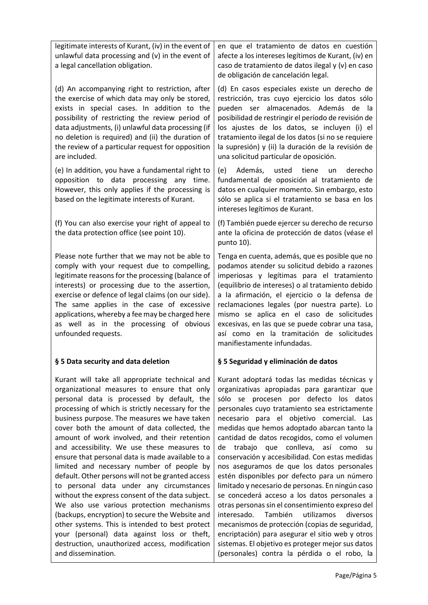| legitimate interests of Kurant, (iv) in the event of<br>unlawful data processing and (v) in the event of<br>a legal cancellation obligation.                                                                                                                                                                                                                                                                                                                                                                                                                                                                                                                                                                                                                                                                                                                                                                                    | en que el tratamiento de datos en cuestión<br>afecte a los intereses legítimos de Kurant, (iv) en<br>caso de tratamiento de datos ilegal y (v) en caso<br>de obligación de cancelación legal.                                                                                                                                                                                                                                                                                                                                                                                                                                                                                                                                                                                                                                                                                                                                                          |
|---------------------------------------------------------------------------------------------------------------------------------------------------------------------------------------------------------------------------------------------------------------------------------------------------------------------------------------------------------------------------------------------------------------------------------------------------------------------------------------------------------------------------------------------------------------------------------------------------------------------------------------------------------------------------------------------------------------------------------------------------------------------------------------------------------------------------------------------------------------------------------------------------------------------------------|--------------------------------------------------------------------------------------------------------------------------------------------------------------------------------------------------------------------------------------------------------------------------------------------------------------------------------------------------------------------------------------------------------------------------------------------------------------------------------------------------------------------------------------------------------------------------------------------------------------------------------------------------------------------------------------------------------------------------------------------------------------------------------------------------------------------------------------------------------------------------------------------------------------------------------------------------------|
| (d) An accompanying right to restriction, after<br>the exercise of which data may only be stored,<br>exists in special cases. In addition to the<br>possibility of restricting the review period of<br>data adjustments, (i) unlawful data processing (if<br>no deletion is required) and (ii) the duration of<br>the review of a particular request for opposition<br>are included.                                                                                                                                                                                                                                                                                                                                                                                                                                                                                                                                            | (d) En casos especiales existe un derecho de<br>restricción, tras cuyo ejercicio los datos sólo<br>pueden ser almacenados. Además de la<br>posibilidad de restringir el período de revisión de<br>los ajustes de los datos, se incluyen (i) el<br>tratamiento ilegal de los datos (si no se requiere<br>la supresión) y (ii) la duración de la revisión de<br>una solicitud particular de oposición.                                                                                                                                                                                                                                                                                                                                                                                                                                                                                                                                                   |
| (e) In addition, you have a fundamental right to<br>opposition to data processing any time.<br>However, this only applies if the processing is<br>based on the legitimate interests of Kurant.                                                                                                                                                                                                                                                                                                                                                                                                                                                                                                                                                                                                                                                                                                                                  | Además, usted tiene<br>(e)<br>derecho<br>un<br>fundamental de oposición al tratamiento de<br>datos en cualquier momento. Sin embargo, esto<br>sólo se aplica si el tratamiento se basa en los<br>intereses legítimos de Kurant.                                                                                                                                                                                                                                                                                                                                                                                                                                                                                                                                                                                                                                                                                                                        |
| (f) You can also exercise your right of appeal to<br>the data protection office (see point 10).                                                                                                                                                                                                                                                                                                                                                                                                                                                                                                                                                                                                                                                                                                                                                                                                                                 | (f) También puede ejercer su derecho de recurso<br>ante la oficina de protección de datos (véase el<br>punto 10).                                                                                                                                                                                                                                                                                                                                                                                                                                                                                                                                                                                                                                                                                                                                                                                                                                      |
| Please note further that we may not be able to<br>comply with your request due to compelling,<br>legitimate reasons for the processing (balance of<br>interests) or processing due to the assertion,<br>exercise or defence of legal claims (on our side).<br>The same applies in the case of excessive<br>applications, whereby a fee may be charged here<br>as well as in the processing of obvious<br>unfounded requests.                                                                                                                                                                                                                                                                                                                                                                                                                                                                                                    | Tenga en cuenta, además, que es posible que no<br>podamos atender su solicitud debido a razones<br>imperiosas y legítimas para el tratamiento<br>(equilibrio de intereses) o al tratamiento debido<br>a la afirmación, el ejercicio o la defensa de<br>reclamaciones legales (por nuestra parte). Lo<br>mismo se aplica en el caso de solicitudes<br>excesivas, en las que se puede cobrar una tasa,<br>así como en la tramitación de solicitudes<br>manifiestamente infundadas.                                                                                                                                                                                                                                                                                                                                                                                                                                                                       |
| § 5 Data security and data deletion                                                                                                                                                                                                                                                                                                                                                                                                                                                                                                                                                                                                                                                                                                                                                                                                                                                                                             | § 5 Seguridad y eliminación de datos                                                                                                                                                                                                                                                                                                                                                                                                                                                                                                                                                                                                                                                                                                                                                                                                                                                                                                                   |
| Kurant will take all appropriate technical and<br>organizational measures to ensure that only<br>personal data is processed by default, the<br>processing of which is strictly necessary for the<br>business purpose. The measures we have taken<br>cover both the amount of data collected, the<br>amount of work involved, and their retention<br>and accessibility. We use these measures to<br>ensure that personal data is made available to a<br>limited and necessary number of people by<br>default. Other persons will not be granted access<br>to personal data under any circumstances<br>without the express consent of the data subject.<br>We also use various protection mechanisms<br>(backups, encryption) to secure the Website and<br>other systems. This is intended to best protect<br>your (personal) data against loss or theft,<br>destruction, unauthorized access, modification<br>and dissemination. | Kurant adoptará todas las medidas técnicas y<br>organizativas apropiadas para garantizar que<br>sólo se procesen por defecto los datos<br>personales cuyo tratamiento sea estrictamente<br>necesario para el objetivo comercial. Las<br>medidas que hemos adoptado abarcan tanto la<br>cantidad de datos recogidos, como el volumen<br>de trabajo que conlleva, así como<br>su<br>conservación y accesibilidad. Con estas medidas<br>nos aseguramos de que los datos personales<br>estén disponibles por defecto para un número<br>limitado y necesario de personas. En ningún caso<br>se concederá acceso a los datos personales a<br>otras personas sin el consentimiento expreso del<br>interesado.<br>También<br>utilizamos<br>diversos<br>mecanismos de protección (copias de seguridad,<br>encriptación) para asegurar el sitio web y otros<br>sistemas. El objetivo es proteger mejor sus datos<br>(personales) contra la pérdida o el robo, la |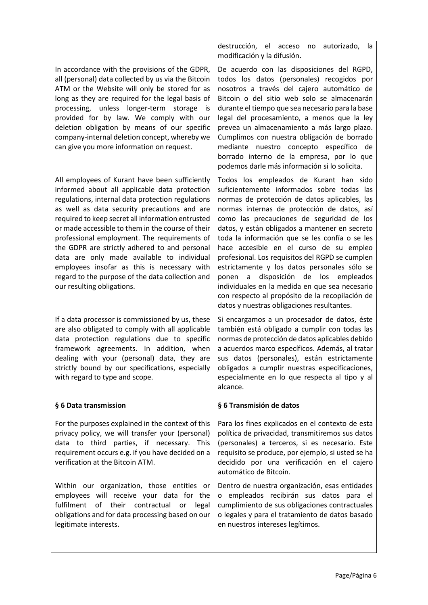| In accordance with the provisions of the GDPR,<br>all (personal) data collected by us via the Bitcoin |  |  |
|-------------------------------------------------------------------------------------------------------|--|--|
|                                                                                                       |  |  |
| ATM or the Website will only be stored for as                                                         |  |  |
| long as they are required for the legal basis of                                                      |  |  |
| processing, unless longer-term storage is                                                             |  |  |
| provided for by law. We comply with our                                                               |  |  |
| deletion obligation by means of our specific                                                          |  |  |
| company-internal deletion concept, whereby we                                                         |  |  |
| can give you more information on request.                                                             |  |  |

All employees of Kurant have been sufficiently informed about all applicable data protection regulations, internal data protection regulations as well as data security precautions and are required to keep secret all information entrusted or made accessible to them in the course of their professional employment. The requirements of the GDPR are strictly adhered to and personal data are only made available to individual employees insofar as this is necessary with regard to the purpose of the data collection and our resulting obligations.

If a data processor is commissioned by us, these are also obligated to comply with all applicable data protection regulations due to specific framework agreements. In addition, when dealing with your (personal) data, they are strictly bound by our specifications, especially with regard to type and scope.

# § 6 Data transmission

For the purposes explained in the context of this privacy policy, we will transfer your (personal) data to third parties, if necessary. This requirement occurs e.g. if you have decided on a verification at the Bitcoin ATM.

Within our organization, those entities or employees will receive your data for the fulfilment of their contractual or legal obligations and for data processing based on our legitimate interests.

destrucción, el acceso no autorizado, la modificación y la difusión.

De acuerdo con las disposiciones del RGPD, todos los datos (personales) recogidos por nosotros a través del cajero automático de Bitcoin o del sitio web solo se almacenarán durante el tiempo que sea necesario para la base legal del procesamiento, a menos que la ley prevea un almacenamiento a más largo plazo. Cumplimos con nuestra obligación de borrado mediante nuestro concepto específico de borrado interno de la empresa, por lo que podemos darle más información si lo solicita.

Todos los empleados de Kurant han sido suficientemente informados sobre todas las normas de protección de datos aplicables, las normas internas de protección de datos, así como las precauciones de seguridad de los datos, y están obligados a mantener en secreto toda la información que se les confía o se les hace accesible en el curso de su empleo profesional. Los requisitos del RGPD se cumplen estrictamente y los datos personales sólo se ponen a disposición de los empleados individuales en la medida en que sea necesario con respecto al propósito de la recopilación de datos y nuestras obligaciones resultantes.

Si encargamos a un procesador de datos, éste también está obligado a cumplir con todas las normas de protección de datos aplicables debido a acuerdos marco específicos. Además, al tratar sus datos (personales), están estrictamente obligados a cumplir nuestras especificaciones, especialmente en lo que respecta al tipo y al alcance.

# § 6 Transmisión de datos

Para los fines explicados en el contexto de esta política de privacidad, transmitiremos sus datos (personales) a terceros, si es necesario. Este requisito se produce, por ejemplo, si usted se ha decidido por una verificación en el cajero automático de Bitcoin.

Dentro de nuestra organización, esas entidades o empleados recibirán sus datos para el cumplimiento de sus obligaciones contractuales o legales y para el tratamiento de datos basado en nuestros intereses legítimos.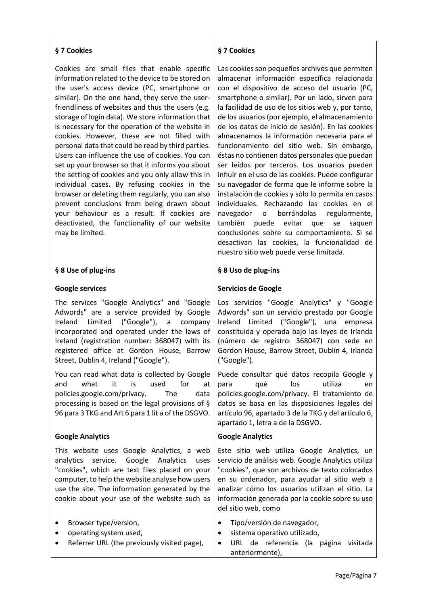# § 7 Cookies

Cookies are small files that enable specific information related to the device to be stored on the user's access device (PC, smartphone or similar). On the one hand, they serve the userfriendliness of websites and thus the users (e.g. storage of login data). We store information that is necessary for the operation of the website in cookies. However, these are not filled with personal data that could be read by third parties. Users can influence the use of cookies. You can set up your browser so that it informs you about the setting of cookies and you only allow this in individual cases. By refusing cookies in the browser or deleting them regularly, you can also prevent conclusions from being drawn about your behaviour as a result. If cookies are deactivated, the functionality of our website may be limited.

# § 8 Use of plug-ins

#### Google services

The services "Google Analytics" and "Google Adwords" are a service provided by Google Ireland Limited ("Google"), a company incorporated and operated under the laws of Ireland (registration number: 368047) with its registered office at Gordon House, Barrow Street, Dublin 4, Ireland ("Google").

You can read what data is collected by Google and what it is used for at policies.google.com/privacy. The data processing is based on the legal provisions of § 96 para 3 TKG and Art 6 para 1 lit a of the DSGVO.

#### Google Analytics

This website uses Google Analytics, a web analytics service. Google Analytics uses "cookies", which are text files placed on your computer, to help the website analyse how users use the site. The information generated by the cookie about your use of the website such as

- Browser type/version,
- operating system used,
- Referrer URL (the previously visited page),

# § 7 Cookies

Las cookies son pequeños archivos que permiten almacenar información específica relacionada con el dispositivo de acceso del usuario (PC, smartphone o similar). Por un lado, sirven para la facilidad de uso de los sitios web y, por tanto, de los usuarios (por ejemplo, el almacenamiento de los datos de inicio de sesión). En las cookies almacenamos la información necesaria para el funcionamiento del sitio web. Sin embargo, éstas no contienen datos personales que puedan ser leídos por terceros. Los usuarios pueden influir en el uso de las cookies. Puede configurar su navegador de forma que le informe sobre la instalación de cookies y sólo lo permita en casos individuales. Rechazando las cookies en el navegador o borrándolas regularmente, también puede evitar que se saquen conclusiones sobre su comportamiento. Si se desactivan las cookies, la funcionalidad de nuestro sitio web puede verse limitada.

# § 8 Uso de plug-ins

#### Servicios de Google

Los servicios "Google Analytics" y "Google Adwords" son un servicio prestado por Google Ireland Limited ("Google"), una empresa constituida y operada bajo las leyes de Irlanda (número de registro: 368047) con sede en Gordon House, Barrow Street, Dublín 4, Irlanda ("Google").

Puede consultar qué datos recopila Google y para qué los utiliza en policies.google.com/privacy. El tratamiento de datos se basa en las disposiciones legales del artículo 96, apartado 3 de la TKG y del artículo 6, apartado 1, letra a de la DSGVO.

#### Google Analytics

Este sitio web utiliza Google Analytics, un servicio de análisis web. Google Analytics utiliza "cookies", que son archivos de texto colocados en su ordenador, para ayudar al sitio web a analizar cómo los usuarios utilizan el sitio. La información generada por la cookie sobre su uso del sitio web, como

- Tipo/versión de navegador,
- sistema operativo utilizado,
- URL de referencia (la página visitada anteriormente),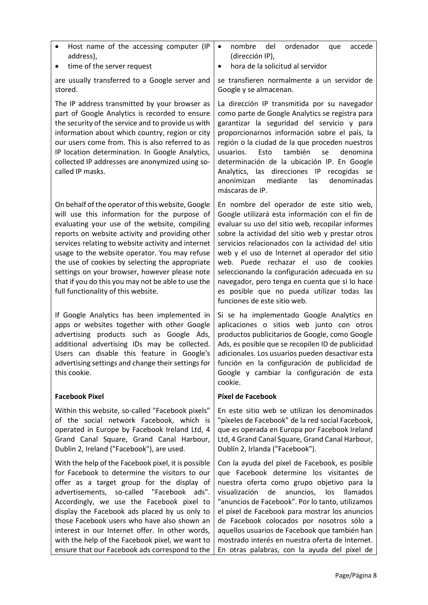| Host name of the accessing computer (IP<br>address),                                                                                                                                                                                                                                                                                                                                                                                                                                                          | nombre<br>del<br>ordenador<br>accede<br>$\bullet$<br>que<br>(dirección IP),<br>hora de la solicitud al servidor                                                                                                                                                                                                                                                                                                                                                                                                                       |
|---------------------------------------------------------------------------------------------------------------------------------------------------------------------------------------------------------------------------------------------------------------------------------------------------------------------------------------------------------------------------------------------------------------------------------------------------------------------------------------------------------------|---------------------------------------------------------------------------------------------------------------------------------------------------------------------------------------------------------------------------------------------------------------------------------------------------------------------------------------------------------------------------------------------------------------------------------------------------------------------------------------------------------------------------------------|
| time of the server request<br>٠                                                                                                                                                                                                                                                                                                                                                                                                                                                                               | $\bullet$                                                                                                                                                                                                                                                                                                                                                                                                                                                                                                                             |
| are usually transferred to a Google server and<br>stored.                                                                                                                                                                                                                                                                                                                                                                                                                                                     | se transfieren normalmente a un servidor de<br>Google y se almacenan.                                                                                                                                                                                                                                                                                                                                                                                                                                                                 |
| The IP address transmitted by your browser as<br>part of Google Analytics is recorded to ensure<br>the security of the service and to provide us with<br>information about which country, region or city<br>our users come from. This is also referred to as<br>IP location determination. In Google Analytics,<br>collected IP addresses are anonymized using so-<br>called IP masks.                                                                                                                        | La dirección IP transmitida por su navegador<br>como parte de Google Analytics se registra para<br>garantizar la seguridad del servicio y para<br>proporcionarnos información sobre el país, la<br>región o la ciudad de la que proceden nuestros<br>también<br>usuarios.<br>Esto<br>denomina<br>se<br>determinación de la ubicación IP. En Google<br>Analytics, las direcciones IP<br>recogidas se<br>anonimizan<br>mediante<br>denominadas<br>las<br>máscaras de IP.                                                                |
| On behalf of the operator of this website, Google<br>will use this information for the purpose of<br>evaluating your use of the website, compiling<br>reports on website activity and providing other<br>services relating to website activity and internet<br>usage to the website operator. You may refuse<br>the use of cookies by selecting the appropriate<br>settings on your browser, however please note<br>that if you do this you may not be able to use the<br>full functionality of this website. | En nombre del operador de este sitio web,<br>Google utilizará esta información con el fin de<br>evaluar su uso del sitio web, recopilar informes<br>sobre la actividad del sitio web y prestar otros<br>servicios relacionados con la actividad del sitio<br>web y el uso de Internet al operador del sitio<br>web. Puede rechazar el uso de cookies<br>seleccionando la configuración adecuada en su<br>navegador, pero tenga en cuenta que si lo hace<br>es posible que no pueda utilizar todas las<br>funciones de este sitio web. |
| If Google Analytics has been implemented in<br>apps or websites together with other Google<br>advertising products such as Google Ads,<br>additional advertising IDs may be collected.<br>Users can disable this feature in Google's<br>advertising settings and change their settings for<br>this cookie.                                                                                                                                                                                                    | Si se ha implementado Google Analytics en<br>aplicaciones o sitios web junto con otros<br>productos publicitarios de Google, como Google<br>Ads, es posible que se recopilen ID de publicidad<br>adicionales. Los usuarios pueden desactivar esta<br>función en la configuración de publicidad de<br>Google y cambiar la configuración de esta<br>cookie.                                                                                                                                                                             |
| <b>Facebook Pixel</b>                                                                                                                                                                                                                                                                                                                                                                                                                                                                                         | Píxel de Facebook                                                                                                                                                                                                                                                                                                                                                                                                                                                                                                                     |
| Within this website, so-called "Facebook pixels"<br>of the social network Facebook, which is<br>operated in Europe by Facebook Ireland Ltd, 4<br>Grand Canal Square, Grand Canal Harbour,<br>Dublin 2, Ireland ("Facebook"), are used.                                                                                                                                                                                                                                                                        | En este sitio web se utilizan los denominados<br>"píxeles de Facebook" de la red social Facebook,<br>que es operada en Europa por Facebook Ireland<br>Ltd, 4 Grand Canal Square, Grand Canal Harbour,<br>Dublín 2, Irlanda ("Facebook").                                                                                                                                                                                                                                                                                              |
| With the help of the Facebook pixel, it is possible<br>for Facebook to determine the visitors to our<br>offer as a target group for the display of<br>advertisements, so-called "Facebook ads".<br>Accordingly, we use the Facebook pixel to<br>display the Facebook ads placed by us only to<br>those Facebook users who have also shown an<br>interest in our Internet offer. In other words,<br>with the help of the Facebook pixel, we want to<br>ensure that our Facebook ads correspond to the          | Con la ayuda del píxel de Facebook, es posible<br>que Facebook determine los visitantes de<br>nuestra oferta como grupo objetivo para la<br>visualización<br>de<br>anuncios,<br><b>Ilamados</b><br>los<br>"anuncios de Facebook". Por lo tanto, utilizamos<br>el píxel de Facebook para mostrar los anuncios<br>de Facebook colocados por nosotros sólo a<br>aquellos usuarios de Facebook que también han<br>mostrado interés en nuestra oferta de Internet.<br>En otras palabras, con la ayuda del píxel de                         |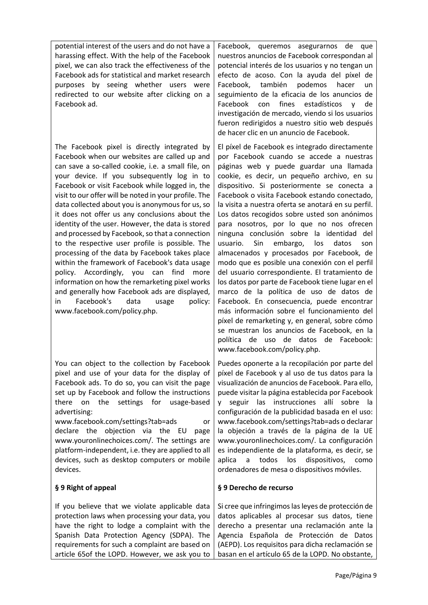potential interest of the users and do not have a harassing effect. With the help of the Facebook pixel, we can also track the effectiveness of the Facebook ads for statistical and market research purposes by seeing whether users were redirected to our website after clicking on a Facebook ad.

The Facebook pixel is directly integrated by Facebook when our websites are called up and can save a so-called cookie, i.e. a small file, on your device. If you subsequently log in to Facebook or visit Facebook while logged in, the visit to our offer will be noted in your profile. The data collected about you is anonymous for us, so it does not offer us any conclusions about the identity of the user. However, the data is stored and processed by Facebook, so that a connection to the respective user profile is possible. The processing of the data by Facebook takes place within the framework of Facebook's data usage policy. Accordingly, you can find more information on how the remarketing pixel works and generally how Facebook ads are displayed, in Facebook's data usage policy: www.facebook.com/policy.php.

You can object to the collection by Facebook pixel and use of your data for the display of Facebook ads. To do so, you can visit the page set up by Facebook and follow the instructions there on the settings for usage-based advertising:

www.facebook.com/settings?tab=ads or declare the objection via the EU page www.youronlinechoices.com/. The settings are platform-independent, i.e. they are applied to all devices, such as desktop computers or mobile devices.

# § 9 Right of appeal

If you believe that we violate applicable data protection laws when processing your data, you have the right to lodge a complaint with the Spanish Data Protection Agency (SDPA). The requirements for such a complaint are based on article 65of the LOPD. However, we ask you to

Facebook, queremos asegurarnos de que nuestros anuncios de Facebook correspondan al potencial interés de los usuarios y no tengan un efecto de acoso. Con la ayuda del píxel de Facebook, también podemos hacer un seguimiento de la eficacia de los anuncios de Facebook con fines estadísticos y de investigación de mercado, viendo si los usuarios fueron redirigidos a nuestro sitio web después de hacer clic en un anuncio de Facebook.

El píxel de Facebook es integrado directamente por Facebook cuando se accede a nuestras páginas web y puede guardar una llamada cookie, es decir, un pequeño archivo, en su dispositivo. Si posteriormente se conecta a Facebook o visita Facebook estando conectado, la visita a nuestra oferta se anotará en su perfil. Los datos recogidos sobre usted son anónimos para nosotros, por lo que no nos ofrecen ninguna conclusión sobre la identidad del usuario. Sin embargo, los datos son almacenados y procesados por Facebook, de modo que es posible una conexión con el perfil del usuario correspondiente. El tratamiento de los datos por parte de Facebook tiene lugar en el marco de la política de uso de datos de Facebook. En consecuencia, puede encontrar más información sobre el funcionamiento del píxel de remarketing y, en general, sobre cómo se muestran los anuncios de Facebook, en la política de uso de datos de Facebook: www.facebook.com/policy.php.

Puedes oponerte a la recopilación por parte del píxel de Facebook y al uso de tus datos para la visualización de anuncios de Facebook. Para ello, puede visitar la página establecida por Facebook y seguir las instrucciones allí sobre la configuración de la publicidad basada en el uso: www.facebook.com/settings?tab=ads o declarar la objeción a través de la página de la UE www.youronlinechoices.com/. La configuración es independiente de la plataforma, es decir, se aplica a todos los dispositivos, como ordenadores de mesa o dispositivos móviles.

# § 9 Derecho de recurso

Si cree que infringimos las leyes de protección de datos aplicables al procesar sus datos, tiene derecho a presentar una reclamación ante la Agencia Española de Protección de Datos (AEPD). Los requisitos para dicha reclamación se basan en el artículo 65 de la LOPD. No obstante,